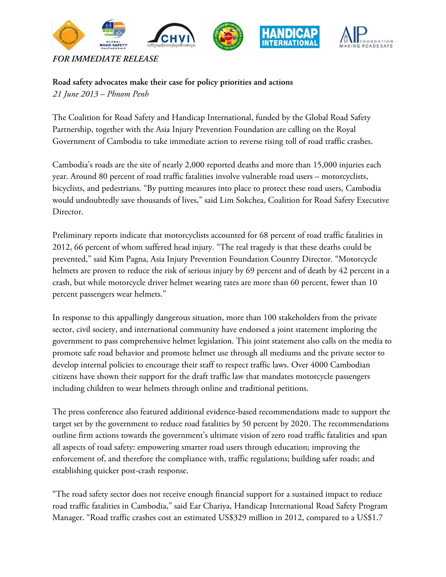

**Road safety advocates make their case for policy priorities and actions**  *21 June 2013 – Phnom Penh*

The Coalition for Road Safety and Handicap International, funded by the Global Road Safety Partnership, together with the Asia Injury Prevention Foundation are calling on the Royal Government of Cambodia to take immediate action to reverse rising toll of road traffic crashes.

Cambodia's roads are the site of nearly 2,000 reported deaths and more than 15,000 injuries each year. Around 80 percent of road traffic fatalities involve vulnerable road users – motorcyclists, bicyclists, and pedestrians. "By putting measures into place to protect these road users, Cambodia would undoubtedly save thousands of lives," said Lim Sokchea, Coalition for Road Safety Executive Director.

Preliminary reports indicate that motorcyclists accounted for 68 percent of road traffic fatalities in 2012, 66 percent of whom suffered head injury. "The real tragedy is that these deaths could be prevented," said Kim Pagna, Asia Injury Prevention Foundation Country Director. "Motorcycle helmets are proven to reduce the risk of serious injury by 69 percent and of death by 42 percent in a crash, but while motorcycle driver helmet wearing rates are more than 60 percent, fewer than 10 percent passengers wear helmets."

In response to this appallingly dangerous situation, more than 100 stakeholders from the private sector, civil society, and international community have endorsed a joint statement imploring the government to pass comprehensive helmet legislation. This joint statement also calls on the media to promote safe road behavior and promote helmet use through all mediums and the private sector to develop internal policies to encourage their staff to respect traffic laws. Over 4000 Cambodian citizens have shown their support for the draft traffic law that mandates motorcycle passengers including children to wear helmets through online and traditional petitions.

The press conference also featured additional evidence-based recommendations made to support the target set by the government to reduce road fatalities by 50 percent by 2020. The recommendations outline firm actions towards the government's ultimate vision of zero road traffic fatalities and span all aspects of road safety: empowering smarter road users through education; improving the enforcement of, and therefore the compliance with, traffic regulations; building safer roads; and establishing quicker post-crash response.

"The road safety sector does not receive enough financial support for a sustained impact to reduce road traffic fatalities in Cambodia," said Ear Chariya, Handicap International Road Safety Program Manager. "Road traffic crashes cost an estimated US\$329 million in 2012, compared to a US\$1.7